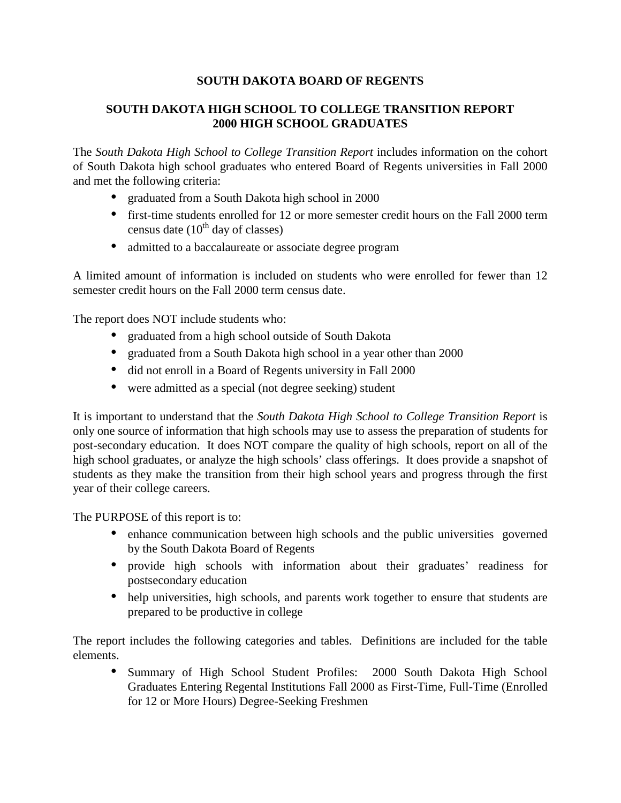# **SOUTH DAKOTA BOARD OF REGENTS**

# **SOUTH DAKOTA HIGH SCHOOL TO COLLEGE TRANSITION REPORT 2000 HIGH SCHOOL GRADUATES**

The *South Dakota High School to College Transition Report* includes information on the cohort of South Dakota high school graduates who entered Board of Regents universities in Fall 2000 and met the following criteria:

- graduated from a South Dakota high school in 2000
- first-time students enrolled for 12 or more semester credit hours on the Fall 2000 term census date  $(10^{th}$  day of classes)
- admitted to a baccalaureate or associate degree program

A limited amount of information is included on students who were enrolled for fewer than 12 semester credit hours on the Fall 2000 term census date.

The report does NOT include students who:

- graduated from a high school outside of South Dakota
- graduated from a South Dakota high school in a year other than 2000
- did not enroll in a Board of Regents university in Fall 2000
- were admitted as a special (not degree seeking) student

It is important to understand that the *South Dakota High School to College Transition Report* is only one source of information that high schools may use to assess the preparation of students for post-secondary education. It does NOT compare the quality of high schools, report on all of the high school graduates, or analyze the high schools' class offerings. It does provide a snapshot of students as they make the transition from their high school years and progress through the first year of their college careers.

The PURPOSE of this report is to:

- enhance communication between high schools and the public universities governed by the South Dakota Board of Regents
- provide high schools with information about their graduates' readiness for postsecondary education
- help universities, high schools, and parents work together to ensure that students are prepared to be productive in college

The report includes the following categories and tables. Definitions are included for the table elements.

• Summary of High School Student Profiles: 2000 South Dakota High School Graduates Entering Regental Institutions Fall 2000 as First-Time, Full-Time (Enrolled for 12 or More Hours) Degree-Seeking Freshmen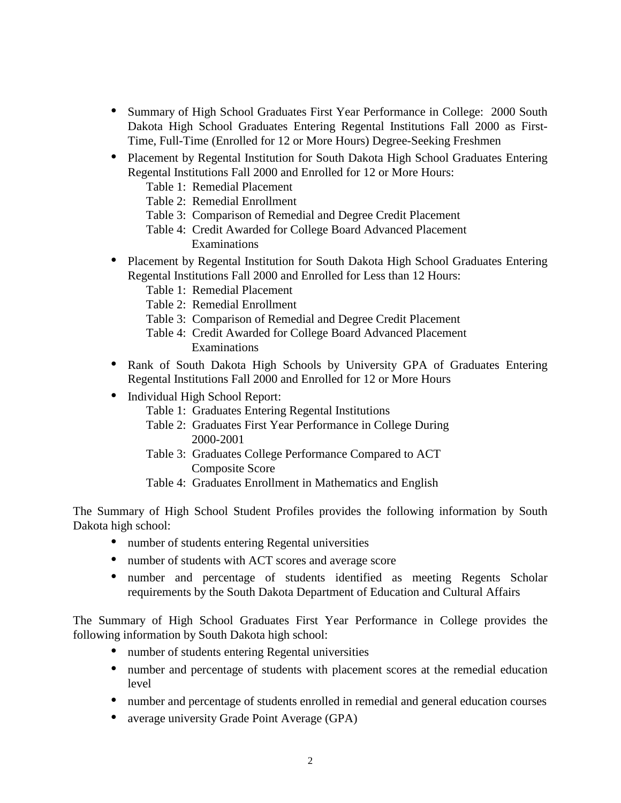- Summary of High School Graduates First Year Performance in College: 2000 South Dakota High School Graduates Entering Regental Institutions Fall 2000 as First-Time, Full-Time (Enrolled for 12 or More Hours) Degree-Seeking Freshmen
- Placement by Regental Institution for South Dakota High School Graduates Entering Regental Institutions Fall 2000 and Enrolled for 12 or More Hours:
	- Table 1: Remedial Placement
	- Table 2: Remedial Enrollment
	- Table 3: Comparison of Remedial and Degree Credit Placement
	- Table 4: Credit Awarded for College Board Advanced Placement Examinations
- Placement by Regental Institution for South Dakota High School Graduates Entering Regental Institutions Fall 2000 and Enrolled for Less than 12 Hours:
	- Table 1: Remedial Placement
	- Table 2: Remedial Enrollment
	- Table 3: Comparison of Remedial and Degree Credit Placement
	- Table 4: Credit Awarded for College Board Advanced Placement Examinations
- Rank of South Dakota High Schools by University GPA of Graduates Entering Regental Institutions Fall 2000 and Enrolled for 12 or More Hours
- Individual High School Report:
	- Table 1: Graduates Entering Regental Institutions
	- Table 2: Graduates First Year Performance in College During 2000-2001
	- Table 3: Graduates College Performance Compared to ACT Composite Score
	- Table 4: Graduates Enrollment in Mathematics and English

The Summary of High School Student Profiles provides the following information by South Dakota high school:

- number of students entering Regental universities
- number of students with ACT scores and average score
- number and percentage of students identified as meeting Regents Scholar requirements by the South Dakota Department of Education and Cultural Affairs

The Summary of High School Graduates First Year Performance in College provides the following information by South Dakota high school:

- number of students entering Regental universities
- number and percentage of students with placement scores at the remedial education level
- number and percentage of students enrolled in remedial and general education courses
- average university Grade Point Average (GPA)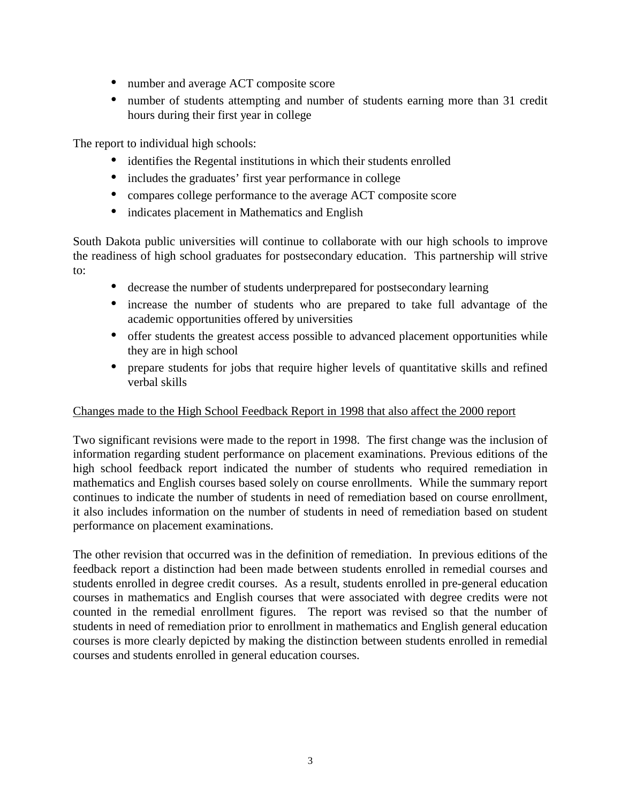- number and average ACT composite score
- number of students attempting and number of students earning more than 31 credit hours during their first year in college

The report to individual high schools:

- identifies the Regental institutions in which their students enrolled
- includes the graduates' first year performance in college
- compares college performance to the average ACT composite score
- indicates placement in Mathematics and English

South Dakota public universities will continue to collaborate with our high schools to improve the readiness of high school graduates for postsecondary education. This partnership will strive to:

- decrease the number of students underprepared for postsecondary learning
- increase the number of students who are prepared to take full advantage of the academic opportunities offered by universities
- offer students the greatest access possible to advanced placement opportunities while they are in high school
- prepare students for jobs that require higher levels of quantitative skills and refined verbal skills

## Changes made to the High School Feedback Report in 1998 that also affect the 2000 report

Two significant revisions were made to the report in 1998. The first change was the inclusion of information regarding student performance on placement examinations. Previous editions of the high school feedback report indicated the number of students who required remediation in mathematics and English courses based solely on course enrollments. While the summary report continues to indicate the number of students in need of remediation based on course enrollment, it also includes information on the number of students in need of remediation based on student performance on placement examinations.

The other revision that occurred was in the definition of remediation. In previous editions of the feedback report a distinction had been made between students enrolled in remedial courses and students enrolled in degree credit courses. As a result, students enrolled in pre-general education courses in mathematics and English courses that were associated with degree credits were not counted in the remedial enrollment figures. The report was revised so that the number of students in need of remediation prior to enrollment in mathematics and English general education courses is more clearly depicted by making the distinction between students enrolled in remedial courses and students enrolled in general education courses.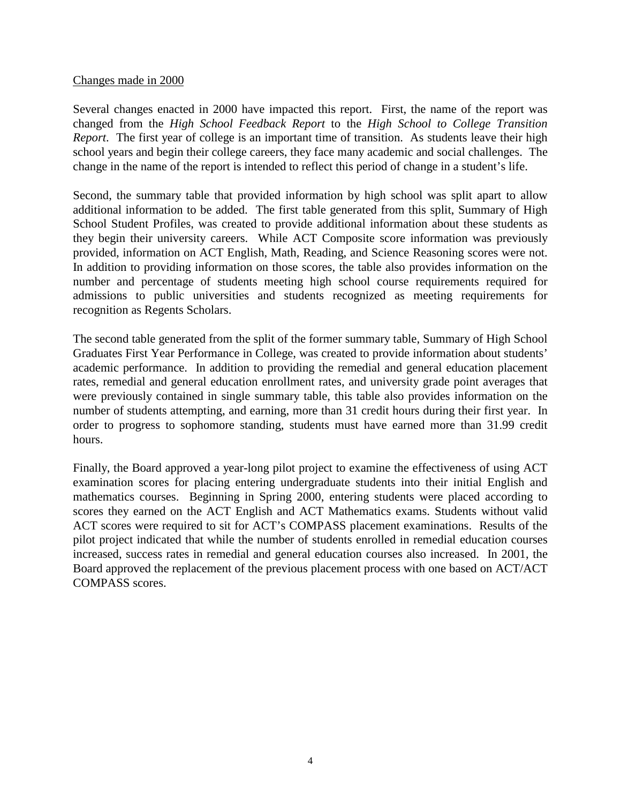## Changes made in 2000

Several changes enacted in 2000 have impacted this report. First, the name of the report was changed from the *High School Feedback Report* to the *High School to College Transition Report*. The first year of college is an important time of transition. As students leave their high school years and begin their college careers, they face many academic and social challenges. The change in the name of the report is intended to reflect this period of change in a student's life.

Second, the summary table that provided information by high school was split apart to allow additional information to be added. The first table generated from this split, Summary of High School Student Profiles, was created to provide additional information about these students as they begin their university careers. While ACT Composite score information was previously provided, information on ACT English, Math, Reading, and Science Reasoning scores were not. In addition to providing information on those scores, the table also provides information on the number and percentage of students meeting high school course requirements required for admissions to public universities and students recognized as meeting requirements for recognition as Regents Scholars.

The second table generated from the split of the former summary table, Summary of High School Graduates First Year Performance in College, was created to provide information about students' academic performance. In addition to providing the remedial and general education placement rates, remedial and general education enrollment rates, and university grade point averages that were previously contained in single summary table, this table also provides information on the number of students attempting, and earning, more than 31 credit hours during their first year. In order to progress to sophomore standing, students must have earned more than 31.99 credit hours.

Finally, the Board approved a year-long pilot project to examine the effectiveness of using ACT examination scores for placing entering undergraduate students into their initial English and mathematics courses. Beginning in Spring 2000, entering students were placed according to scores they earned on the ACT English and ACT Mathematics exams. Students without valid ACT scores were required to sit for ACT's COMPASS placement examinations. Results of the pilot project indicated that while the number of students enrolled in remedial education courses increased, success rates in remedial and general education courses also increased. In 2001, the Board approved the replacement of the previous placement process with one based on ACT/ACT COMPASS scores.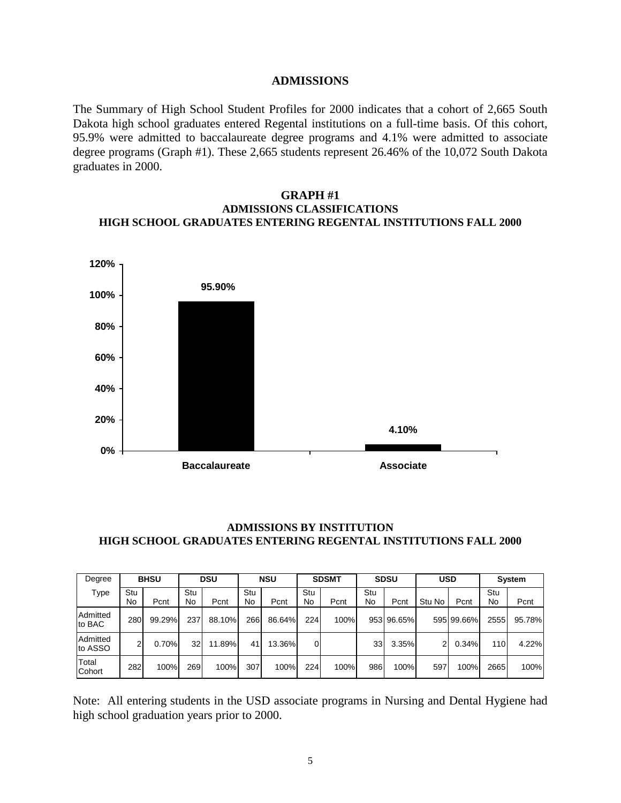#### **ADMISSIONS**

The Summary of High School Student Profiles for 2000 indicates that a cohort of 2,665 South Dakota high school graduates entered Regental institutions on a full-time basis. Of this cohort, 95.9% were admitted to baccalaureate degree programs and 4.1% were admitted to associate degree programs (Graph #1). These 2,665 students represent 26.46% of the 10,072 South Dakota graduates in 2000.

### **GRAPH #1 ADMISSIONS CLASSIFICATIONS HIGH SCHOOL GRADUATES ENTERING REGENTAL INSTITUTIONS FALL 2000**



### **ADMISSIONS BY INSTITUTION HIGH SCHOOL GRADUATES ENTERING REGENTAL INSTITUTIONS FALL 2000**

| Degree              | <b>BHSU</b> |        | <b>DSU</b> |        | <b>NSU</b> |        | <b>SDSMT</b> |      | <b>SDSU</b> |            | <b>USD</b> |            | System    |        |
|---------------------|-------------|--------|------------|--------|------------|--------|--------------|------|-------------|------------|------------|------------|-----------|--------|
| Type                | Stu<br>No   | Pcnt   | Stu<br>No  | Pcnt   | Stu<br>No  | Pcnt   | Stu<br>No    | Pcnt | Stu<br>No   | Pcnt       | Stu No     | Pcnt       | Stu<br>No | Pcnt   |
| Admitted<br>to BAC  | 280         | 99.29% | 237        | 88.10% | 266        | 86.64% | 224          | 100% |             | 953 96.65% |            | 595 99.66% | 2555      | 95.78% |
| Admitted<br>to ASSO | 2           | 0.70%  | 32         | 11.89% | 41         | 13.36% | 0            |      | 33          | 3.35%      |            | 0.34%      | 110       | 4.22%  |
| Total<br>Cohort     | 282         | 100%   | 269        | 100%   | 307        | 100%   | 224          | 100% | 986         | 100%       | 597        | 100%       | 2665      | 100%   |

Note: All entering students in the USD associate programs in Nursing and Dental Hygiene had high school graduation years prior to 2000.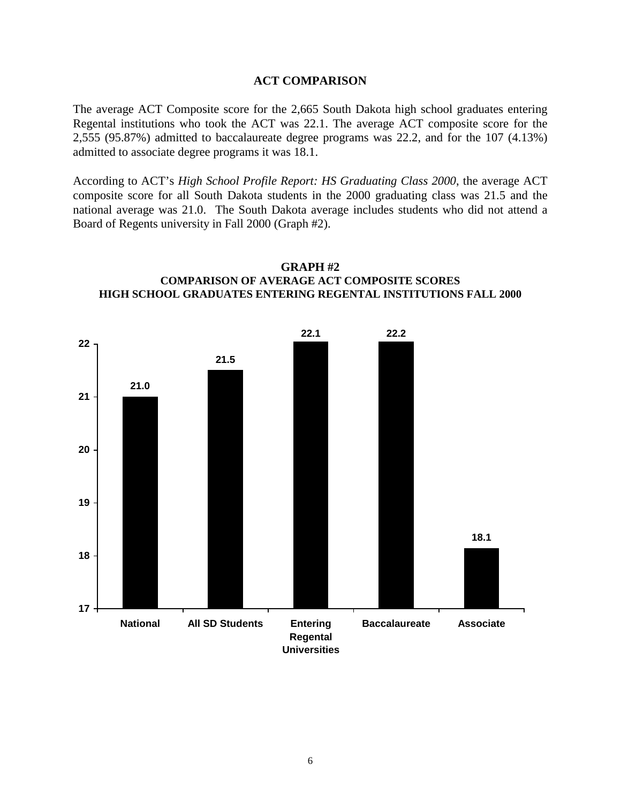#### **ACT COMPARISON**

The average ACT Composite score for the 2,665 South Dakota high school graduates entering Regental institutions who took the ACT was 22.1. The average ACT composite score for the 2,555 (95.87%) admitted to baccalaureate degree programs was 22.2, and for the 107 (4.13%) admitted to associate degree programs it was 18.1.

According to ACT's *High School Profile Report: HS Graduating Class 2000*, the average ACT composite score for all South Dakota students in the 2000 graduating class was 21.5 and the national average was 21.0. The South Dakota average includes students who did not attend a Board of Regents university in Fall 2000 (Graph #2).



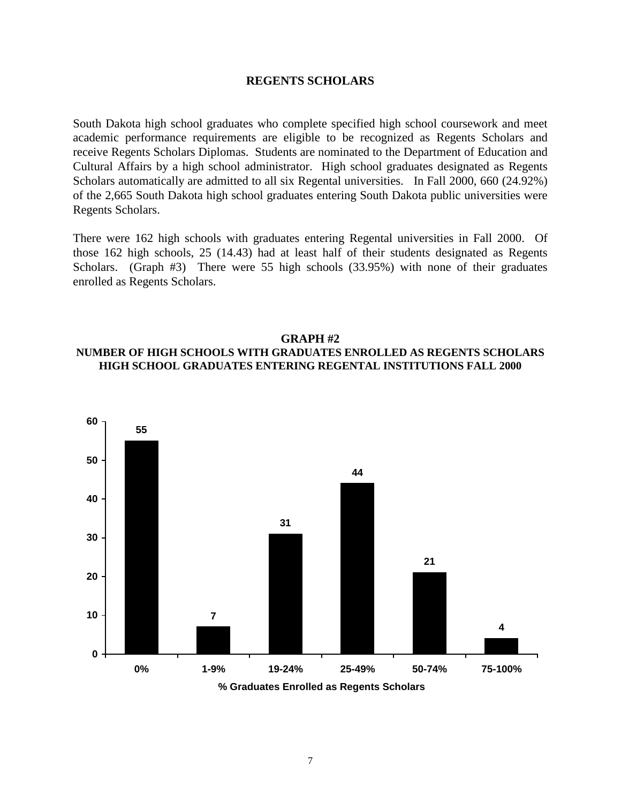#### **REGENTS SCHOLARS**

South Dakota high school graduates who complete specified high school coursework and meet academic performance requirements are eligible to be recognized as Regents Scholars and receive Regents Scholars Diplomas. Students are nominated to the Department of Education and Cultural Affairs by a high school administrator. High school graduates designated as Regents Scholars automatically are admitted to all six Regental universities. In Fall 2000, 660 (24.92%) of the 2,665 South Dakota high school graduates entering South Dakota public universities were Regents Scholars.

There were 162 high schools with graduates entering Regental universities in Fall 2000. Of those 162 high schools, 25 (14.43) had at least half of their students designated as Regents Scholars. (Graph #3) There were 55 high schools (33.95%) with none of their graduates enrolled as Regents Scholars.

#### **GRAPH #2**

## **NUMBER OF HIGH SCHOOLS WITH GRADUATES ENROLLED AS REGENTS SCHOLARS HIGH SCHOOL GRADUATES ENTERING REGENTAL INSTITUTIONS FALL 2000**

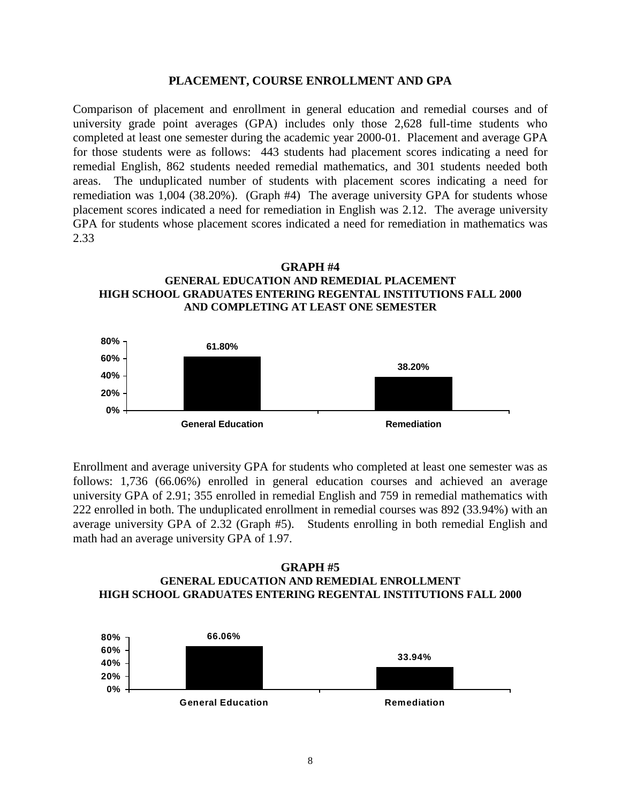#### **PLACEMENT, COURSE ENROLLMENT AND GPA**

Comparison of placement and enrollment in general education and remedial courses and of university grade point averages (GPA) includes only those 2,628 full-time students who completed at least one semester during the academic year 2000-01. Placement and average GPA for those students were as follows: 443 students had placement scores indicating a need for remedial English, 862 students needed remedial mathematics, and 301 students needed both areas. The unduplicated number of students with placement scores indicating a need for remediation was 1,004 (38.20%). (Graph #4) The average university GPA for students whose placement scores indicated a need for remediation in English was 2.12. The average university GPA for students whose placement scores indicated a need for remediation in mathematics was 2.33





Enrollment and average university GPA for students who completed at least one semester was as follows: 1,736 (66.06%) enrolled in general education courses and achieved an average university GPA of 2.91; 355 enrolled in remedial English and 759 in remedial mathematics with 222 enrolled in both. The unduplicated enrollment in remedial courses was 892 (33.94%) with an average university GPA of 2.32 (Graph #5). Students enrolling in both remedial English and math had an average university GPA of 1.97.

### **GRAPH #5 GENERAL EDUCATION AND REMEDIAL ENROLLMENT HIGH SCHOOL GRADUATES ENTERING REGENTAL INSTITUTIONS FALL 2000**

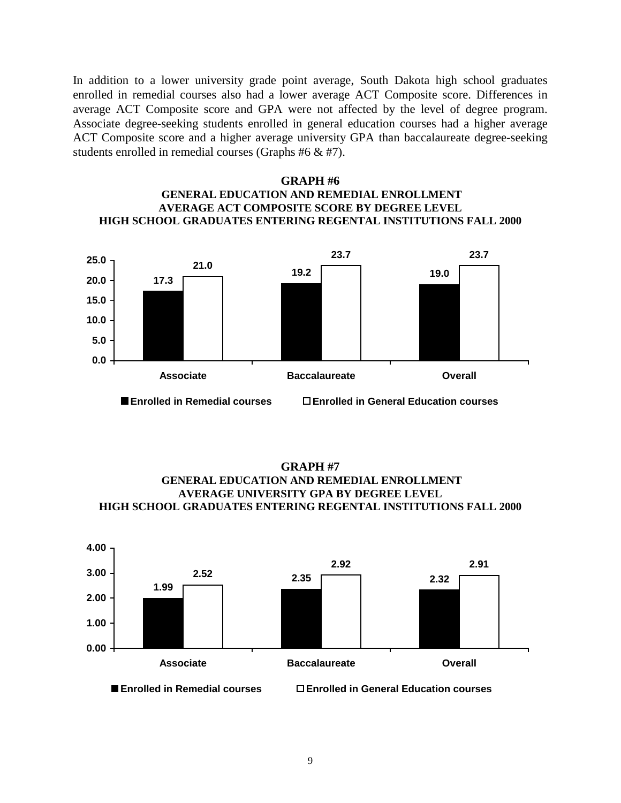In addition to a lower university grade point average, South Dakota high school graduates enrolled in remedial courses also had a lower average ACT Composite score. Differences in average ACT Composite score and GPA were not affected by the level of degree program. Associate degree-seeking students enrolled in general education courses had a higher average ACT Composite score and a higher average university GPA than baccalaureate degree-seeking students enrolled in remedial courses (Graphs #6 & #7).

## **GRAPH #6 GENERAL EDUCATION AND REMEDIAL ENROLLMENT AVERAGE ACT COMPOSITE SCORE BY DEGREE LEVEL HIGH SCHOOL GRADUATES ENTERING REGENTAL INSTITUTIONS FALL 2000**



**GRAPH #7 GENERAL EDUCATION AND REMEDIAL ENROLLMENT AVERAGE UNIVERSITY GPA BY DEGREE LEVEL HIGH SCHOOL GRADUATES ENTERING REGENTAL INSTITUTIONS FALL 2000**

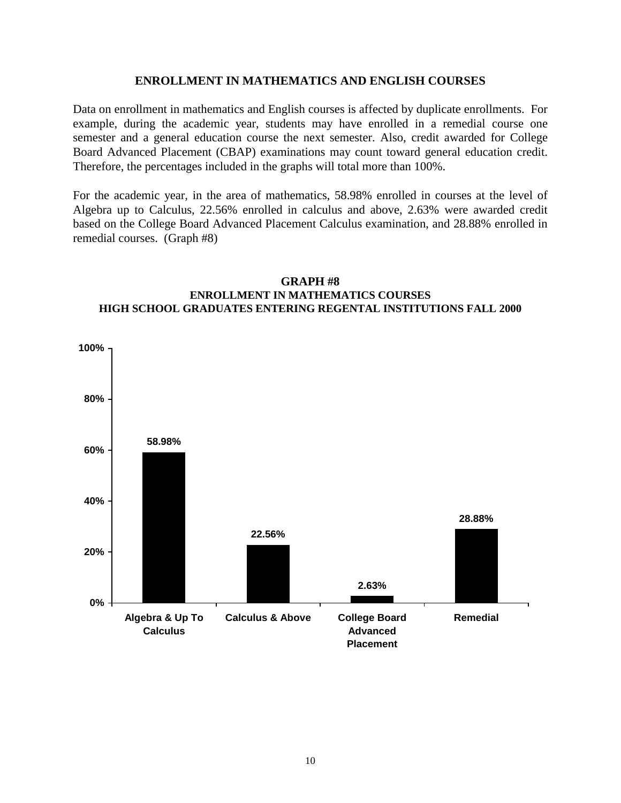## **ENROLLMENT IN MATHEMATICS AND ENGLISH COURSES**

Data on enrollment in mathematics and English courses is affected by duplicate enrollments. For example, during the academic year, students may have enrolled in a remedial course one semester and a general education course the next semester. Also, credit awarded for College Board Advanced Placement (CBAP) examinations may count toward general education credit. Therefore, the percentages included in the graphs will total more than 100%.

For the academic year, in the area of mathematics, 58.98% enrolled in courses at the level of Algebra up to Calculus, 22.56% enrolled in calculus and above, 2.63% were awarded credit based on the College Board Advanced Placement Calculus examination, and 28.88% enrolled in remedial courses. (Graph #8)



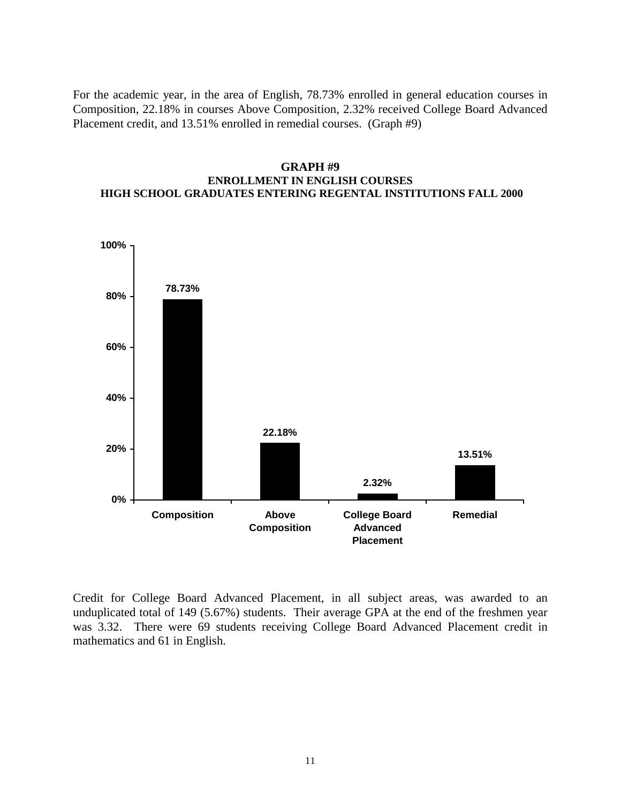For the academic year, in the area of English, 78.73% enrolled in general education courses in Composition, 22.18% in courses Above Composition, 2.32% received College Board Advanced Placement credit, and 13.51% enrolled in remedial courses. (Graph #9)

## **GRAPH #9 ENROLLMENT IN ENGLISH COURSES HIGH SCHOOL GRADUATES ENTERING REGENTAL INSTITUTIONS FALL 2000**



Credit for College Board Advanced Placement, in all subject areas, was awarded to an unduplicated total of 149 (5.67%) students. Their average GPA at the end of the freshmen year was 3.32. There were 69 students receiving College Board Advanced Placement credit in mathematics and 61 in English.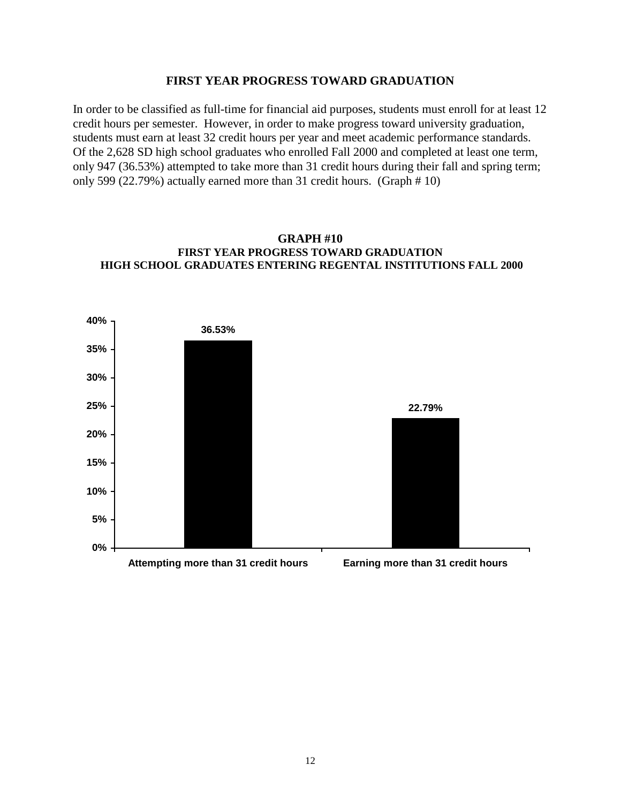#### **FIRST YEAR PROGRESS TOWARD GRADUATION**

In order to be classified as full-time for financial aid purposes, students must enroll for at least 12 credit hours per semester. However, in order to make progress toward university graduation, students must earn at least 32 credit hours per year and meet academic performance standards. Of the 2,628 SD high school graduates who enrolled Fall 2000 and completed at least one term, only 947 (36.53%) attempted to take more than 31 credit hours during their fall and spring term; only 599 (22.79%) actually earned more than 31 credit hours. (Graph # 10)



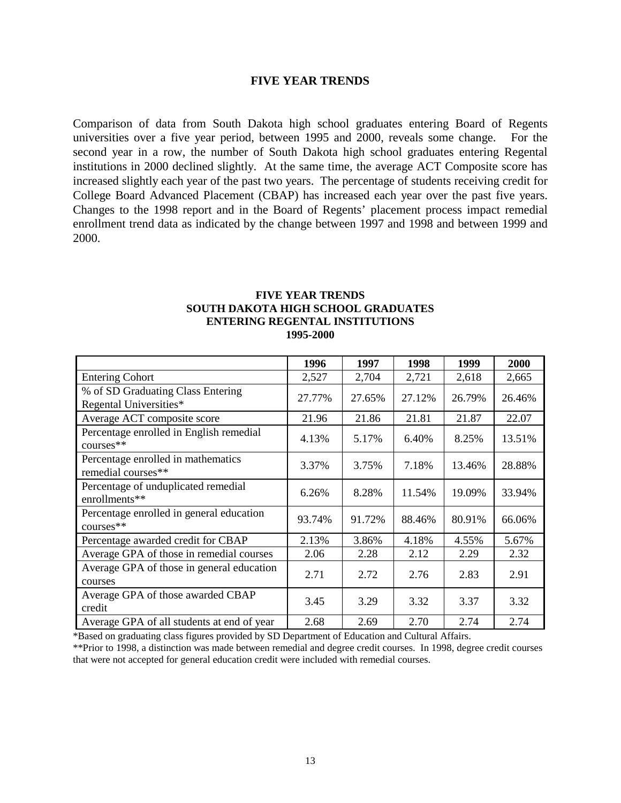#### **FIVE YEAR TRENDS**

Comparison of data from South Dakota high school graduates entering Board of Regents universities over a five year period, between 1995 and 2000, reveals some change. For the second year in a row, the number of South Dakota high school graduates entering Regental institutions in 2000 declined slightly. At the same time, the average ACT Composite score has increased slightly each year of the past two years. The percentage of students receiving credit for College Board Advanced Placement (CBAP) has increased each year over the past five years. Changes to the 1998 report and in the Board of Regents' placement process impact remedial enrollment trend data as indicated by the change between 1997 and 1998 and between 1999 and 2000.

### **FIVE YEAR TRENDS SOUTH DAKOTA HIGH SCHOOL GRADUATES ENTERING REGENTAL INSTITUTIONS 1995-2000**

|                                                             | 1996   | 1997   | 1998   | 1999   | 2000   |
|-------------------------------------------------------------|--------|--------|--------|--------|--------|
| <b>Entering Cohort</b>                                      | 2,527  | 2,704  | 2,721  | 2,618  | 2,665  |
| % of SD Graduating Class Entering<br>Regental Universities* | 27.77% | 27.65% | 27.12% | 26.79% | 26.46% |
| Average ACT composite score                                 | 21.96  | 21.86  | 21.81  | 21.87  | 22.07  |
| Percentage enrolled in English remedial<br>$course$ **      | 4.13%  | 5.17%  | 6.40%  | 8.25%  | 13.51% |
| Percentage enrolled in mathematics<br>remedial courses**    | 3.37%  | 3.75%  | 7.18%  | 13.46% | 28.88% |
| Percentage of unduplicated remedial<br>enrollments**        | 6.26%  | 8.28%  | 11.54% | 19.09% | 33.94% |
| Percentage enrolled in general education<br>$course$ **     | 93.74% | 91.72% | 88.46% | 80.91% | 66.06% |
| Percentage awarded credit for CBAP                          | 2.13%  | 3.86%  | 4.18%  | 4.55%  | 5.67%  |
| Average GPA of those in remedial courses                    | 2.06   | 2.28   | 2.12   | 2.29   | 2.32   |
| Average GPA of those in general education<br>courses        | 2.71   | 2.72   | 2.76   | 2.83   | 2.91   |
| Average GPA of those awarded CBAP<br>credit                 | 3.45   | 3.29   | 3.32   | 3.37   | 3.32   |
| Average GPA of all students at end of year                  | 2.68   | 2.69   | 2.70   | 2.74   | 2.74   |

\*Based on graduating class figures provided by SD Department of Education and Cultural Affairs.

\*\*Prior to 1998, a distinction was made between remedial and degree credit courses. In 1998, degree credit courses that were not accepted for general education credit were included with remedial courses.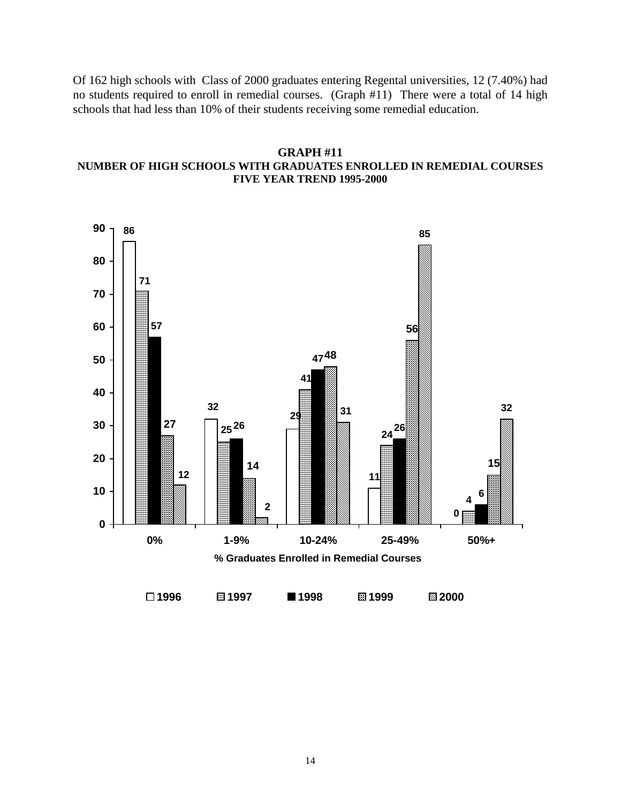Of 162 high schools with Class of 2000 graduates entering Regental universities, 12 (7.40%) had no students required to enroll in remedial courses. (Graph #11) There were a total of 14 high schools that had less than 10% of their students receiving some remedial education.

## **GRAPH #11**

## **NUMBER OF HIGH SCHOOLS WITH GRADUATES ENROLLED IN REMEDIAL COURSES FIVE YEAR TREND 1995-2000**

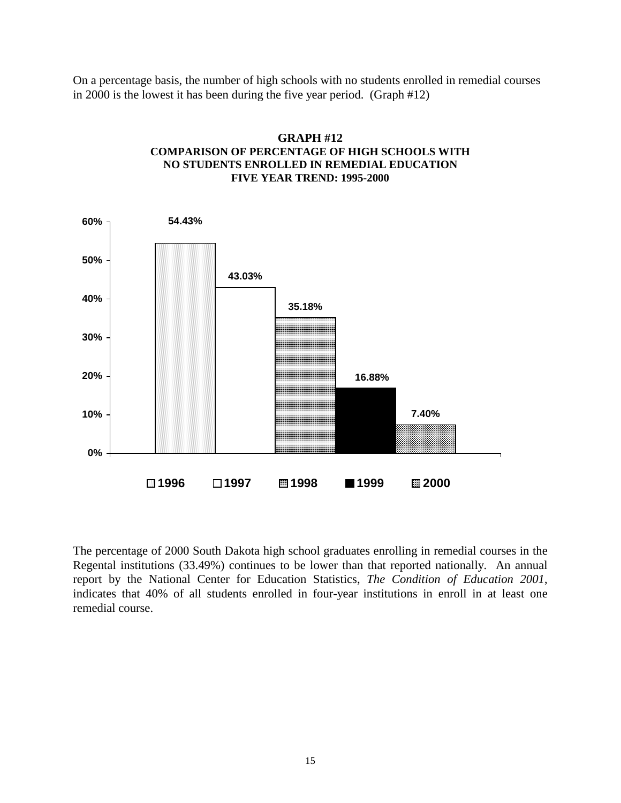On a percentage basis, the number of high schools with no students enrolled in remedial courses in 2000 is the lowest it has been during the five year period. (Graph #12)



## **GRAPH #12 COMPARISON OF PERCENTAGE OF HIGH SCHOOLS WITH NO STUDENTS ENROLLED IN REMEDIAL EDUCATION FIVE YEAR TREND: 1995-2000**

The percentage of 2000 South Dakota high school graduates enrolling in remedial courses in the Regental institutions (33.49%) continues to be lower than that reported nationally. An annual report by the National Center for Education Statistics, *The Condition of Education 2001*, indicates that 40% of all students enrolled in four-year institutions in enroll in at least one remedial course.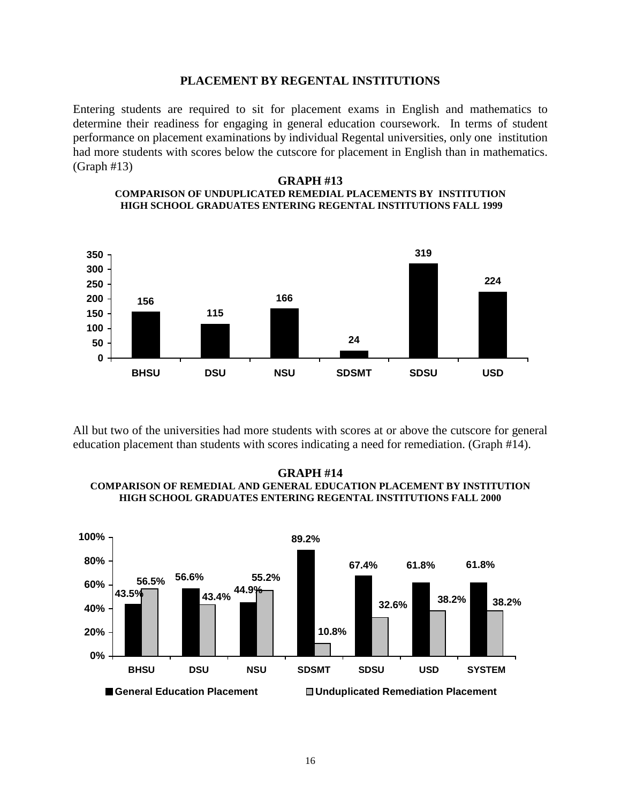#### **PLACEMENT BY REGENTAL INSTITUTIONS**

Entering students are required to sit for placement exams in English and mathematics to determine their readiness for engaging in general education coursework. In terms of student performance on placement examinations by individual Regental universities, only one institution had more students with scores below the cutscore for placement in English than in mathematics. (Graph #13)

#### **GRAPH #13 COMPARISON OF UNDUPLICATED REMEDIAL PLACEMENTS BY INSTITUTION HIGH SCHOOL GRADUATES ENTERING REGENTAL INSTITUTIONS FALL 1999**



All but two of the universities had more students with scores at or above the cutscore for general education placement than students with scores indicating a need for remediation. (Graph #14).

#### **GRAPH #14 COMPARISON OF REMEDIAL AND GENERAL EDUCATION PLACEMENT BY INSTITUTION HIGH SCHOOL GRADUATES ENTERING REGENTAL INSTITUTIONS FALL 2000**

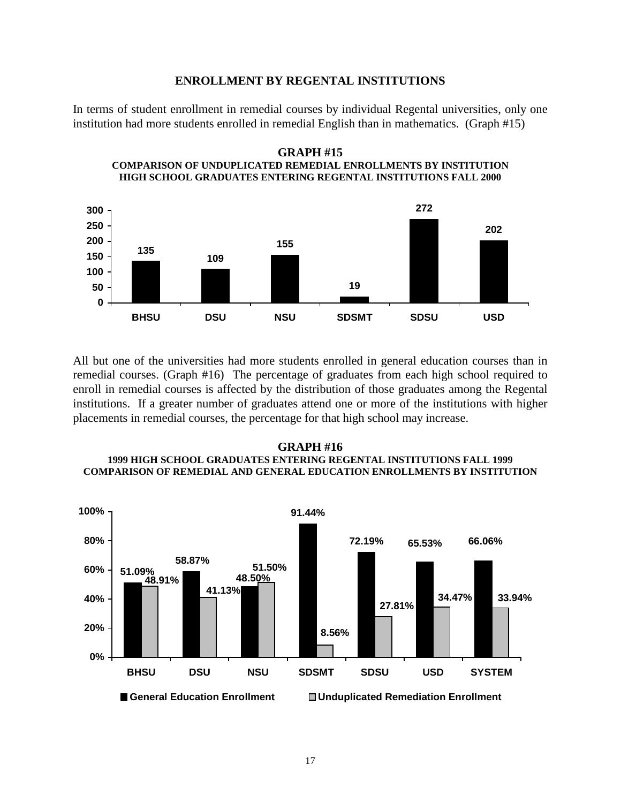#### **ENROLLMENT BY REGENTAL INSTITUTIONS**

In terms of student enrollment in remedial courses by individual Regental universities, only one institution had more students enrolled in remedial English than in mathematics. (Graph #15)



All but one of the universities had more students enrolled in general education courses than in remedial courses. (Graph #16) The percentage of graduates from each high school required to enroll in remedial courses is affected by the distribution of those graduates among the Regental institutions. If a greater number of graduates attend one or more of the institutions with higher placements in remedial courses, the percentage for that high school may increase.

#### **GRAPH #16 1999 HIGH SCHOOL GRADUATES ENTERING REGENTAL INSTITUTIONS FALL 1999 COMPARISON OF REMEDIAL AND GENERAL EDUCATION ENROLLMENTS BY INSTITUTION**



**GRAPH #15 COMPARISON OF UNDUPLICATED REMEDIAL ENROLLMENTS BY INSTITUTION HIGH SCHOOL GRADUATES ENTERING REGENTAL INSTITUTIONS FALL 2000**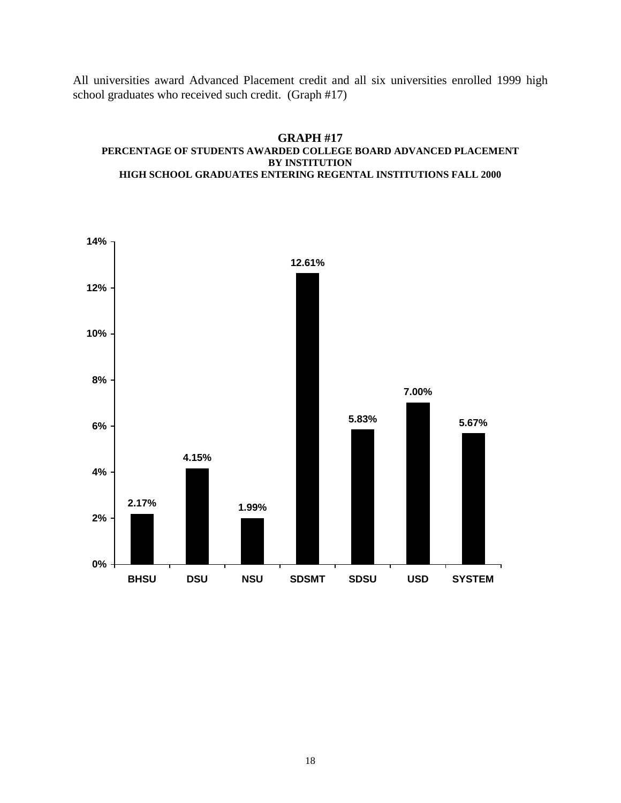All universities award Advanced Placement credit and all six universities enrolled 1999 high school graduates who received such credit. (Graph #17)



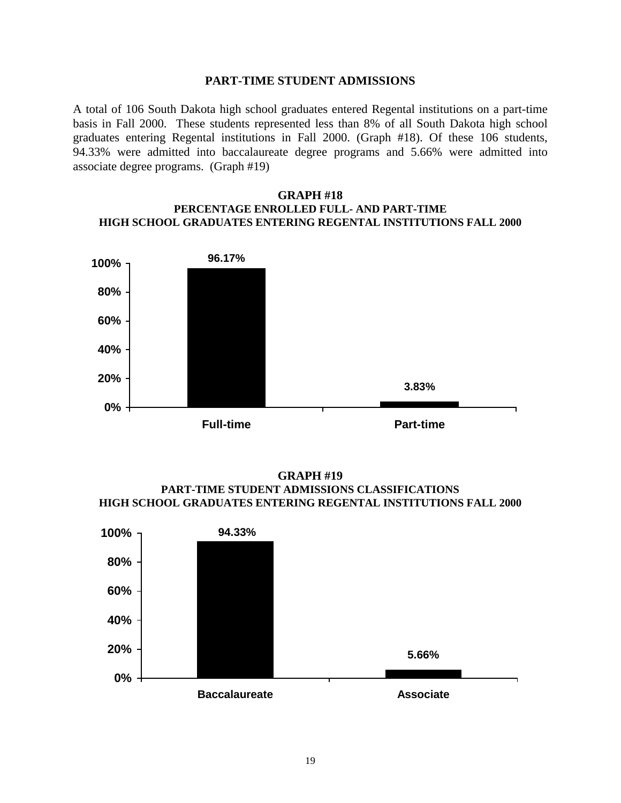#### **PART-TIME STUDENT ADMISSIONS**

A total of 106 South Dakota high school graduates entered Regental institutions on a part-time basis in Fall 2000. These students represented less than 8% of all South Dakota high school graduates entering Regental institutions in Fall 2000. (Graph #18). Of these 106 students, 94.33% were admitted into baccalaureate degree programs and 5.66% were admitted into associate degree programs. (Graph #19)

### **GRAPH #18 PERCENTAGE ENROLLED FULL- AND PART-TIME HIGH SCHOOL GRADUATES ENTERING REGENTAL INSTITUTIONS FALL 2000**